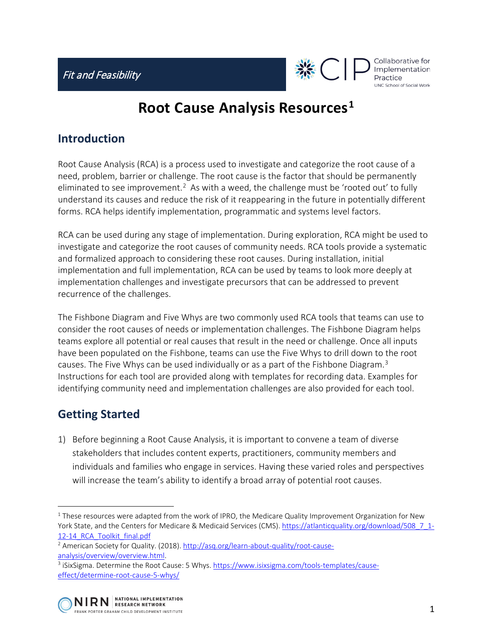

Collaborative for Implementation Practice UNC School of Social Work

# **Root Cause Analysis Resources[1](#page-0-0)**

#### **Introduction**

Root Cause Analysis (RCA) is a process used to investigate and categorize the root cause of a need, problem, barrier or challenge. The root cause is the factor that should be permanently eliminated to see improvement.<sup>[2](#page-0-1)</sup> As with a weed, the challenge must be 'rooted out' to fully understand its causes and reduce the risk of it reappearing in the future in potentially different forms. RCA helps identify implementation, programmatic and systems level factors.

RCA can be used during any stage of implementation. During exploration, RCA might be used to investigate and categorize the root causes of community needs. RCA tools provide a systematic and formalized approach to considering these root causes. During installation, initial implementation and full implementation, RCA can be used by teams to look more deeply at implementation challenges and investigate precursors that can be addressed to prevent recurrence of the challenges.

The Fishbone Diagram and Five Whys are two commonly used RCA tools that teams can use to consider the root causes of needs or implementation challenges. The Fishbone Diagram helps teams explore all potential or real causes that result in the need or challenge. Once all inputs have been populated on the Fishbone, teams can use the Five Whys to drill down to the root causes. The Five Whys can be used individually or as a part of the Fishbone Diagram. $3$ Instructions for each tool are provided along with templates for recording data. Examples for identifying community need and implementation challenges are also provided for each tool.

# **Getting Started**

 $\overline{a}$ 

1) Before beginning a Root Cause Analysis, it is important to convene a team of diverse stakeholders that includes content experts, practitioners, community members and individuals and families who engage in services. Having these varied roles and perspectives will increase the team's ability to identify a broad array of potential root causes.

<span id="page-0-2"></span><span id="page-0-1"></span>[effect/determine-root-cause-5-whys/](https://www.isixsigma.com/tools-templates/cause-effect/determine-root-cause-5-whys/)



<span id="page-0-0"></span> $1$  These resources were adapted from the work of IPRO, the Medicare Quality Improvement Organization for New York State, and the Centers for Medicare & Medicaid Services (CMS)[. https://atlanticquality.org/download/508\\_7\\_1-](https://atlanticquality.org/download/508_7_1-12-14_RCA_Toolkit_final.pdf) 12-14 RCA Toolkit\_final.pdf

<sup>&</sup>lt;sup>2</sup> American Society for Quality. (2018)[. http://asq.org/learn-about-quality/root-cause](http://asq.org/learn-about-quality/root-cause-analysis/overview/overview.html)analysis/overview/overview.html.<br><sup>3</sup> iSixSigma. Determine the Root Cause: 5 Whys. [https://www.isixsigma.com/tools-templates/cause-](https://www.isixsigma.com/tools-templates/cause-effect/determine-root-cause-5-whys/)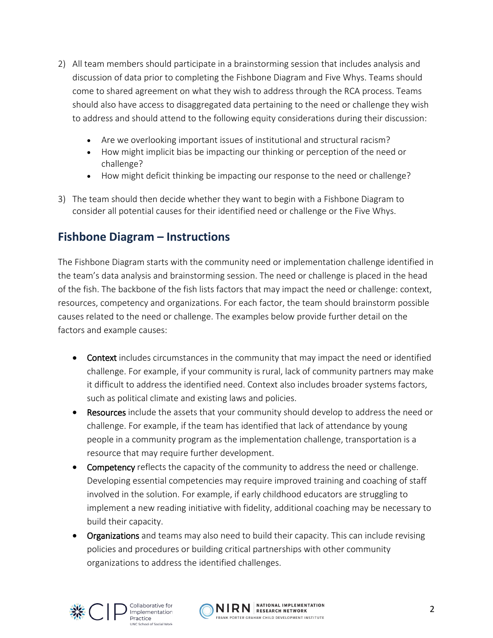- 2) All team members should participate in a brainstorming session that includes analysis and discussion of data prior to completing the Fishbone Diagram and Five Whys. Teams should come to shared agreement on what they wish to address through the RCA process. Teams should also have access to disaggregated data pertaining to the need or challenge they wish to address and should attend to the following equity considerations during their discussion:
	- Are we overlooking important issues of institutional and structural racism?
	- How might implicit bias be impacting our thinking or perception of the need or challenge?
	- How might deficit thinking be impacting our response to the need or challenge?
- 3) The team should then decide whether they want to begin with a Fishbone Diagram to consider all potential causes for their identified need or challenge or the Five Whys.

### **Fishbone Diagram – Instructions**

The Fishbone Diagram starts with the community need or implementation challenge identified in the team's data analysis and brainstorming session. The need or challenge is placed in the head of the fish. The backbone of the fish lists factors that may impact the need or challenge: context, resources, competency and organizations. For each factor, the team should brainstorm possible causes related to the need or challenge. The examples below provide further detail on the factors and example causes:

- Context includes circumstances in the community that may impact the need or identified challenge. For example, if your community is rural, lack of community partners may make it difficult to address the identified need. Context also includes broader systems factors, such as political climate and existing laws and policies.
- Resources include the assets that your community should develop to address the need or challenge. For example, if the team has identified that lack of attendance by young people in a community program as the implementation challenge, transportation is a resource that may require further development.
- Competency reflects the capacity of the community to address the need or challenge. Developing essential competencies may require improved training and coaching of staff involved in the solution. For example, if early childhood educators are struggling to implement a new reading initiative with fidelity, additional coaching may be necessary to build their capacity.
- Organizations and teams may also need to build their capacity. This can include revising policies and procedures or building critical partnerships with other community organizations to address the identified challenges.



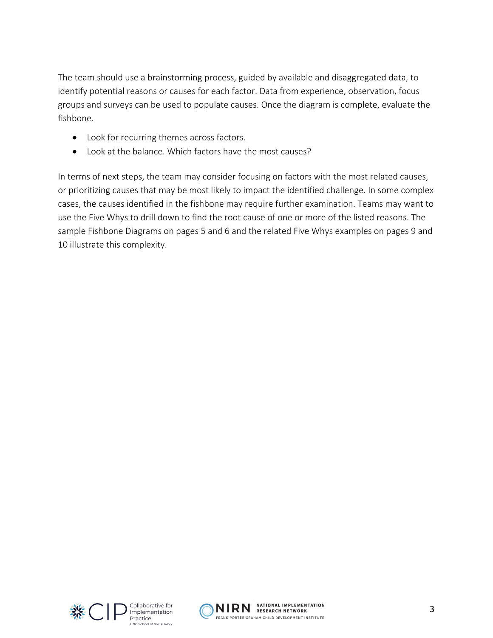The team should use a brainstorming process, guided by available and disaggregated data, to identify potential reasons or causes for each factor. Data from experience, observation, focus groups and surveys can be used to populate causes. Once the diagram is complete, evaluate the fishbone.

- Look for recurring themes across factors.
- Look at the balance. Which factors have the most causes?

In terms of next steps, the team may consider focusing on factors with the most related causes, or prioritizing causes that may be most likely to impact the identified challenge. In some complex cases, the causes identified in the fishbone may require further examination. Teams may want to use the Five Whys to drill down to find the root cause of one or more of the listed reasons. The sample Fishbone Diagrams on pages 5 and 6 and the related Five Whys examples on pages 9 and 10 illustrate this complexity.



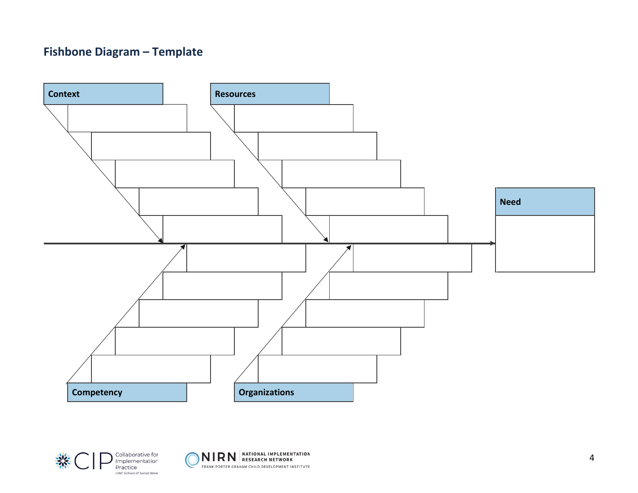# **Fishbone Diagram – Template**





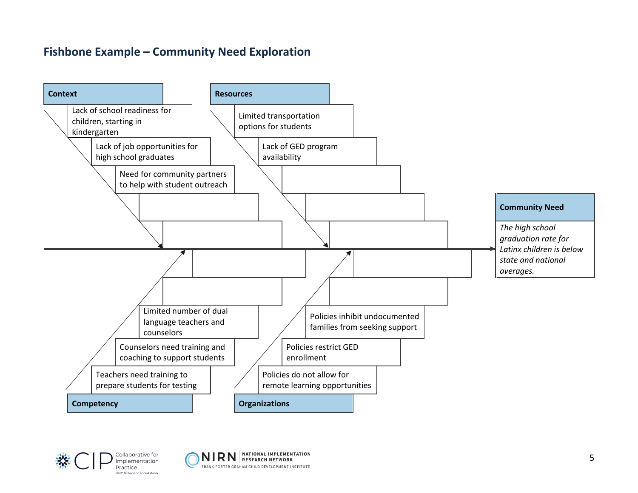# **Fishbone Example – Community Need Exploration**





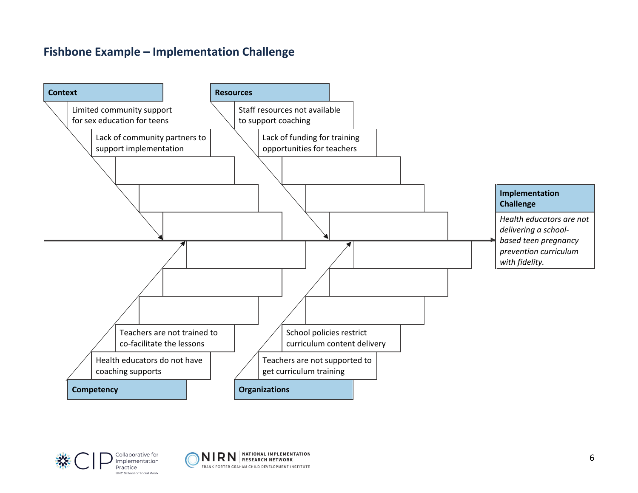# **Fishbone Example – Implementation Challenge**







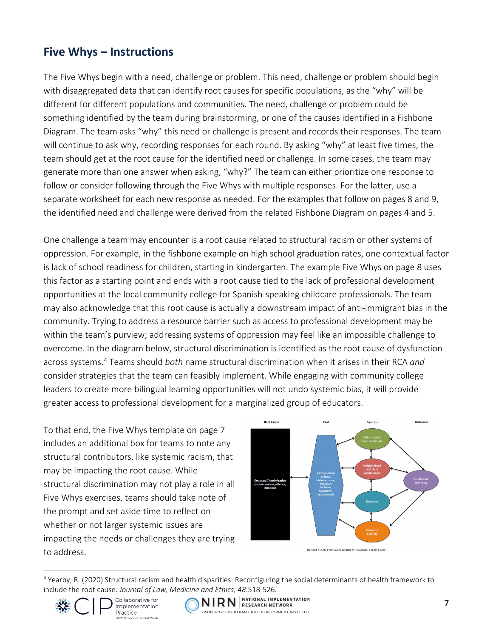#### **Five Whys – Instructions**

The Five Whys begin with a need, challenge or problem. This need, challenge or problem should begin with disaggregated data that can identify root causes for specific populations, as the "why" will be different for different populations and communities. The need, challenge or problem could be something identified by the team during brainstorming, or one of the causes identified in a Fishbone Diagram. The team asks "why" this need or challenge is present and records their responses. The team will continue to ask why, recording responses for each round. By asking "why" at least five times, the team should get at the root cause for the identified need or challenge. In some cases, the team may generate more than one answer when asking, "why?" The team can either prioritize one response to follow or consider following through the Five Whys with multiple responses. For the latter, use a separate worksheet for each new response as needed. For the examples that follow on pages 8 and 9, the identified need and challenge were derived from the related Fishbone Diagram on pages 4 and 5.

One challenge a team may encounter is a root cause related to structural racism or other systems of oppression. For example, in the fishbone example on high school graduation rates, one contextual factor is lack of school readiness for children, starting in kindergarten. The example Five Whys on page 8 uses this factor as a starting point and ends with a root cause tied to the lack of professional development opportunities at the local community college for Spanish-speaking childcare professionals. The team may also acknowledge that this root cause is actually a downstream impact of anti-immigrant bias in the community. Trying to address a resource barrier such as access to professional development may be within the team's purview; addressing systems of oppression may feel like an impossible challenge to overcome. In the diagram below, structural discrimination is identified as the root cause of dysfunction across systems.[4](#page-6-0) Teams should *both* name structural discrimination when it arises in their RCA *and* consider strategies that the team can feasibly implement. While engaging with community college leaders to create more bilingual learning opportunities will not undo systemic bias, it will provide greater access to professional development for a marginalized group of educators.

To that end, the Five Whys template on page 7 includes an additional box for teams to note any structural contributors, like systemic racism, that may be impacting the root cause. While structural discrimination may not play a role in all Five Whys exercises, teams should take note of the prompt and set aside time to reflect on whether or not larger systemic issues are impacting the needs or challenges they are trying to address.



Revised SDOH Framework created by Ruqaiijah Yearby (2020)

<span id="page-6-0"></span> $\overline{a}$ <sup>4</sup> Yearby, R. (2020) Structural racism and health disparities: Reconfiguring the social determinants of health framework to include the root cause. *Journal of Law, Medicine and Ethics, 48*:518-526.





NIRN RESEARCH NETWORK FRANK PORTER GRAHAM CHILD DEVELOPMENT INSTITUTE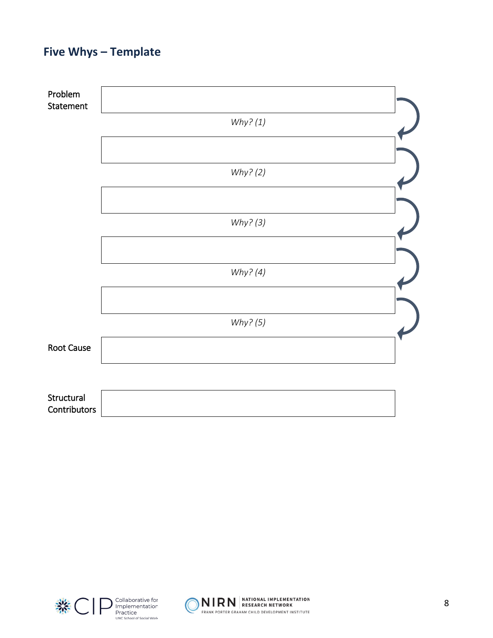# **Five Whys – Template**





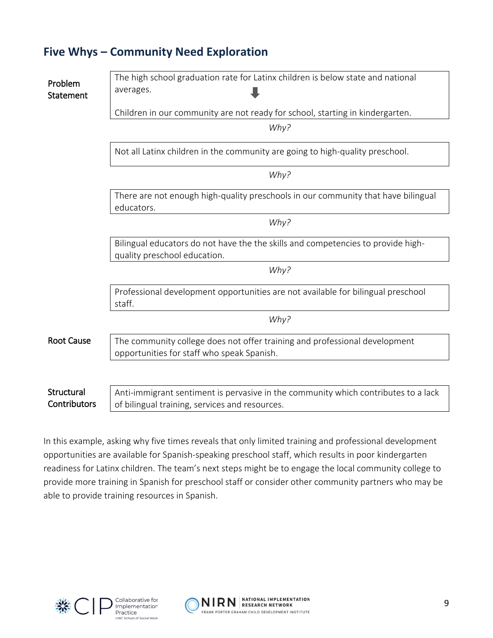### **Five Whys – Community Need Exploration**

| Problem<br>Statement       | The high school graduation rate for Latinx children is below state and national<br>averages.                                         |
|----------------------------|--------------------------------------------------------------------------------------------------------------------------------------|
|                            | Children in our community are not ready for school, starting in kindergarten.                                                        |
|                            | Why?                                                                                                                                 |
|                            | Not all Latinx children in the community are going to high-quality preschool.                                                        |
|                            | Why?                                                                                                                                 |
|                            | There are not enough high-quality preschools in our community that have bilingual<br>educators.                                      |
|                            | Why?                                                                                                                                 |
|                            | Bilingual educators do not have the the skills and competencies to provide high-<br>quality preschool education.                     |
|                            | Why?                                                                                                                                 |
|                            | Professional development opportunities are not available for bilingual preschool<br>staff.                                           |
|                            | Why?                                                                                                                                 |
| <b>Root Cause</b>          | The community college does not offer training and professional development<br>opportunities for staff who speak Spanish.             |
|                            |                                                                                                                                      |
| Structural<br>Contributors | Anti-immigrant sentiment is pervasive in the community which contributes to a lack<br>of bilingual training, services and resources. |

In this example, asking why five times reveals that only limited training and professional development opportunities are available for Spanish-speaking preschool staff, which results in poor kindergarten readiness for Latinx children. The team's next steps might be to engage the local community college to provide more training in Spanish for preschool staff or consider other community partners who may be able to provide training resources in Spanish.